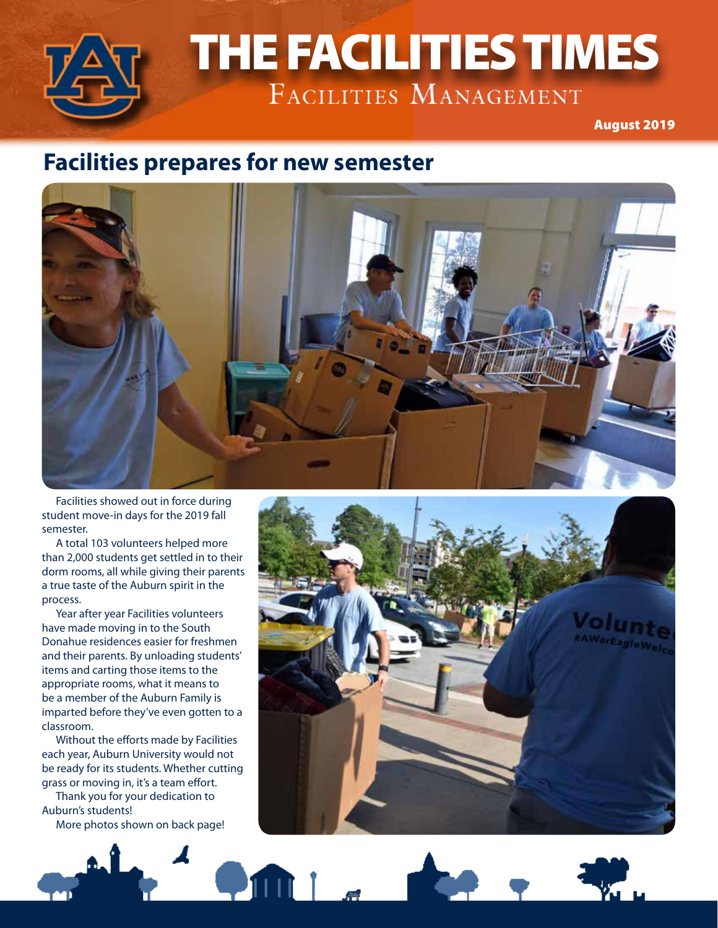

# THE FACILITIES TIMES THE FACILITIES TIMES

August 2019

#### **Facilities prepares for new semester**



Facilities showed out in force during student move-in days for the 2019 fall semester.

A total 103 volunteers helped more than 2,000 students get settled in to their dorm rooms, all while giving their parents a true taste of the Auburn spirit in the process.

Year after year Facilities volunteers have made moving in to the South Donahue residences easier for freshmen and their parents. By unloading students' items and carting those items to the appropriate rooms, what it means to be a member of the Auburn Family is imparted before they've even gotten to a classroom.

Without the efforts made by Facilities each year, Auburn University would not be ready for its students. Whether cutting grass or moving in, it's a team effort.

Thank you for your dedication to Auburn's students!

More photos shown on back page!

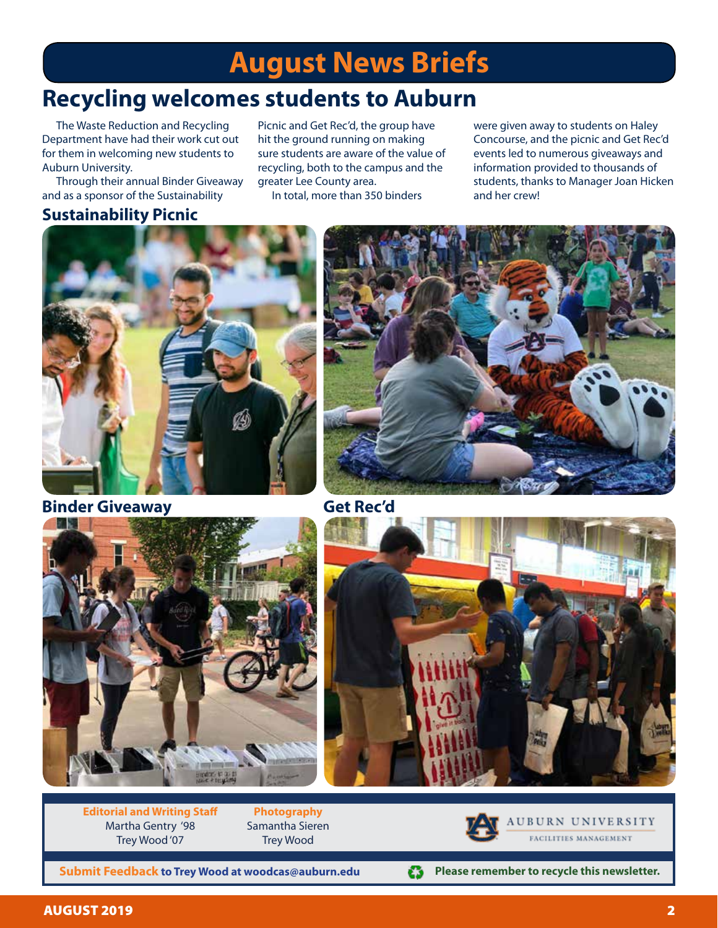## **August News Briefs**

### **Recycling welcomes students to Auburn**

The Waste Reduction and Recycling Department have had their work cut out for them in welcoming new students to Auburn University.

Through their annual Binder Giveaway and as a sponsor of the Sustainability

#### **Sustainability Picnic**

Picnic and Get Rec'd, the group have hit the ground running on making sure students are aware of the value of recycling, both to the campus and the greater Lee County area.

In total, more than 350 binders

were given away to students on Haley Concourse, and the picnic and Get Rec'd events led to numerous giveaways and information provided to thousands of students, thanks to Manager Joan Hicken and her crew!



**Binder Giveaway Get Rec'd**







**Editorial and Writing Staff** Martha Gentry '98 Trey Wood '07

**Photography** Samantha Sieren Trey Wood



AUBURN UNIVERSITY FACILITIES MANAGEMENT

**Submit Feedback to Trey Wood at woodcas@auburn.edu**



**Please remember to recycle this newsletter.** £3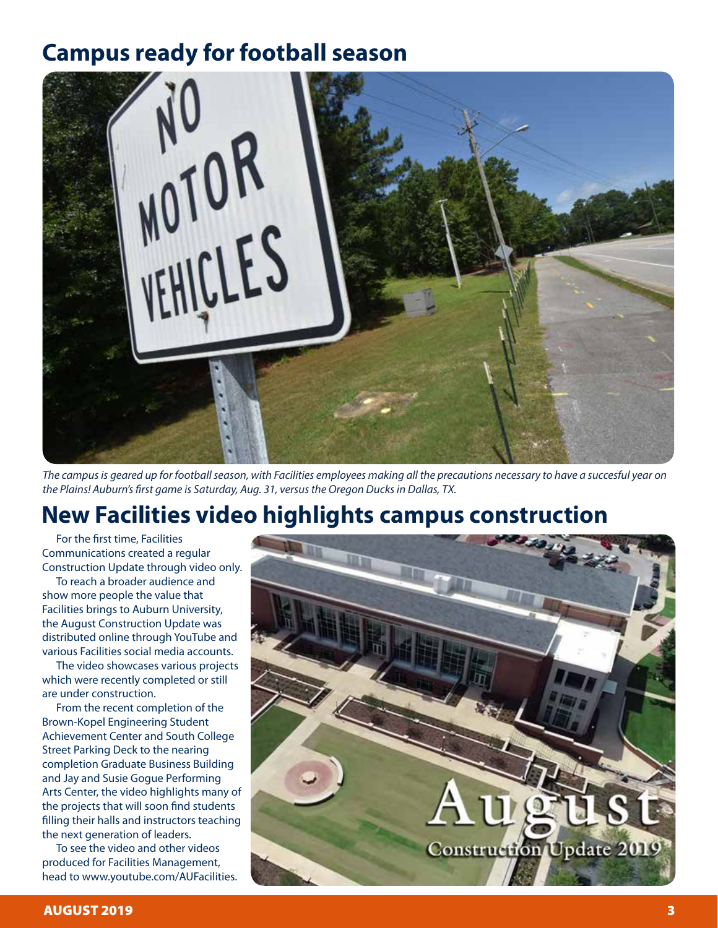#### **Campus ready for football season**



*The campus is geared up for football season, with Facilities employees making all the precautions necessary to have a succesful year on the Plains! Auburn's first game is Saturday, Aug. 31, versus the Oregon Ducks in Dallas, TX.*

#### **New Facilities video highlights campus construction**

For the first time, Facilities Communications created a regular Construction Update through video only.

To reach a broader audience and show more people the value that Facilities brings to Auburn University, the August Construction Update was distributed online through YouTube and various Facilities social media accounts.

The video showcases various projects which were recently completed or still are under construction.

From the recent completion of the Brown-Kopel Engineering Student Achievement Center and South College Street Parking Deck to the nearing completion Graduate Business Building and Jay and Susie Gogue Performing Arts Center, the video highlights many of the projects that will soon find students filling their halls and instructors teaching the next generation of leaders.

To see the video and other videos produced for Facilities Management, head to www.youtube.com/AUFacilities.